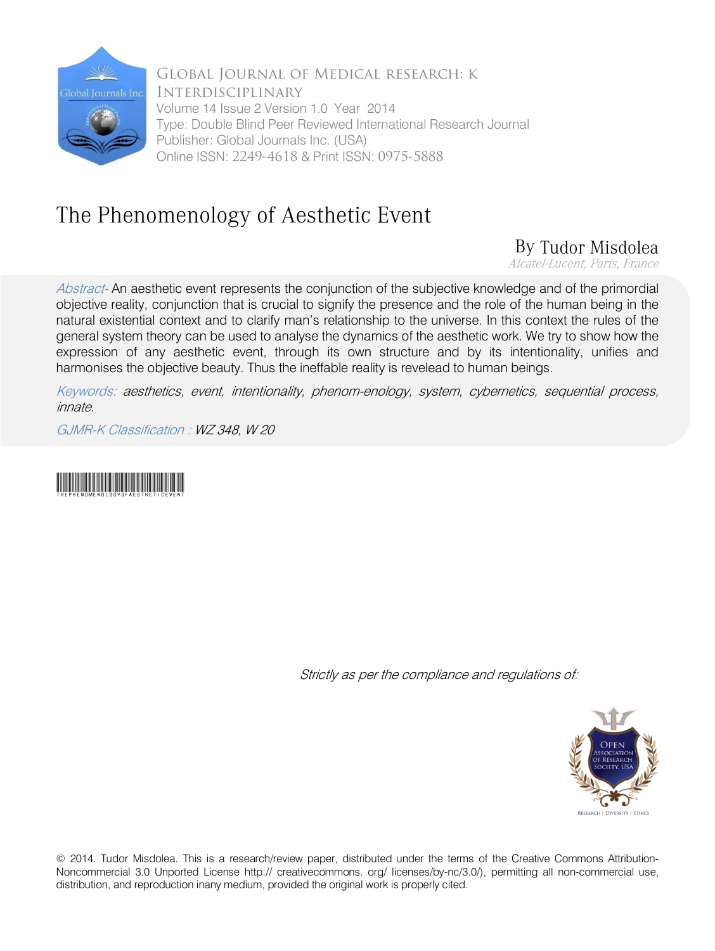

Global Journal of Medical research: k Interdisciplinary Volume 14 Issue 2 Version 1.0 Year 2014 Type: Double Blind Peer Reviewed International Research Journal Publisher: Global Journals Inc. (USA) Online ISSN: 2249-4618 & Print ISSN: 0975-5888

## The Phenomenology of Aesthetic Event

## By Tudor Misdolea

Alcatel-Lucent, Paris, France

Abstract- An aesthetic event represents the conjunction of the subjective knowledge and of the primordial objective reality, conjunction that is crucial to signify the presence and the role of the human being in the natural existential context and to clarify man's relationship to the universe. In this context the rules of the general system theory can be used to analyse the dynamics of the aesthetic work. We try to show how the expression of any aesthetic event, through its own structure and by its intentionality, unifies and harmonises the objective beauty. Thus the ineffable reality is revelead to human beings.

Keywords: aesthetics, event, intentionality, phenom-enology, system, cybernetics, sequential process, innate.

GJMR-K Classification : WZ 348, W 20



Strictly as per the compliance and regulations of:



© 2014. Tudor Misdolea. This is a research/review paper, distributed under the terms of the Creative Commons Attribution-Noncommercial 3.0 Unported License http:// creativecommons. org/ licenses/by-nc/3.0/), permitting all non-commercial use, distribution, and reproduction inany medium, provided the original work is properly cited.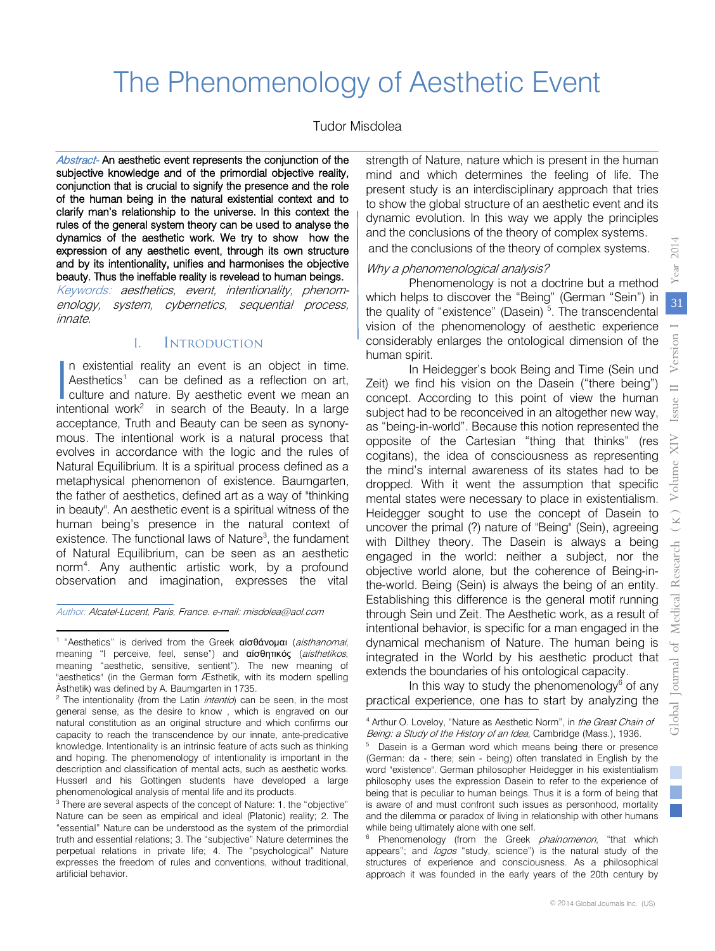# The Phenomenology of Aesthetic Event

#### Tudor Misdolea

Abstract- An aesthetic event represents the conjunction of the subjective knowledge and of the primordial objective reality, conjunction that is crucial to signify the presence and the role of the human being in the natural existential context and to clarify man's relationship to the universe. In this context the rules of the general system theory can be used to analyse the dynamics of the aesthetic work. We try to show how the expression of any aesthetic event, through its own structure and by its intentionality, unifies and harmonises the objective beauty. Thus the ineffable reality is revelead to human beings. Keywords: aesthetics, event, intentionality, phenomenology, system, cybernetics, sequential process, innate.

#### I. Introduction

n existential reality an event is an object in time. Aesthetics<sup>1</sup> can be defined as a reflection on art, culture and nature. By aesthetic event we mean an In existential reality an event is an object in time.<br>Aesthetics<sup>1</sup> can be defined as a reflection on art, culture and nature. By aesthetic event we mean an intentional work<sup>[2](#page-1-1)</sup> in search of the Beauty. In a large acceptance, Truth and Beauty can be seen as synonymous. The intentional work is a natural process that evolves in accordance with the logic and the rules of Natural Equilibrium. It is a spiritual process defined as a metaphysical phenomenon of existence. Baumgarten, the father of aesthetics, defined art as a way of "thinking in beauty". An aesthetic event is a spiritual witness of the human being's presence in the natural context of existence. The functional laws of Nature<sup>[3](#page-1-2)</sup>, the fundament of Natural Equilibrium, can be seen as an aesthetic norm[4](#page-1-3) . Any authentic artistic work, by a profound observation and imagination, expresses the vital

<span id="page-1-0"></span>Author: Alcatel-Lucent, Paris, France. e-mail: misdolea@aol.com

l

strength of Nature, nature which is present in the human mind and which determines the feeling of life. The present study is an interdisciplinary approach that tries to show the global structure of an aesthetic event and its dynamic evolution. In this way we apply the principles and the conclusions of the theory of complex systems. and the conclusions of the theory of complex systems.

#### Why a phenomenological analysis?

Phenomenology is not a doctrine but a method which helps to discover the "Being" (German "Sein") in the quality of "existence" (Dasein)<sup>[5](#page-1-4)</sup>. The transcendental vision of the phenomenology of aesthetic experience considerably enlarges the ontological dimension of the human spirit.

In Heidegger's book Being and Time (Sein und Zeit) we find his vision on the Dasein ("there being") concept. According to this point of view the human subject had to be reconceived in an altogether new way, as "being-in-world". Because this notion represented the opposite of the Cartesian "thing that thinks" (res cogitans), the idea of consciousness as representing the mind's internal awareness of its states had to be dropped. With it went the assumption that specific mental states were necessary to place in existentialism. Heidegger sought to use the concept of Dasein to uncover the primal (?) nature of "Being" (Sein), agreeing with Dilthey theory. The Dasein is always a being engaged in the world: neither a subject, nor the objective world alone, but the coherence of Being-inthe-world. Being (Sein) is always the being of an entity. Establishing this difference is the general motif running through Sein und Zeit. The Aesthetic work, as a result of intentional behavior, is specific for a man engaged in the dynamical mechanism of Nature. The human being is integrated in the World by his aesthetic product that extends the boundaries of his ontological capacity.

In this way to study the phenomenology $6$  of any practical experience, one has to start by analyzing the

<sup>&</sup>lt;sup>1</sup> "Aesthetics" is derived from the Greek αίσθάνομαι (aisthanomai, meaning "I perceive, feel, sense") and αίσθητικός (aisthetikos, meaning "aesthetic, sensitive, sentient"). The new meaning of "aesthetics" (in the German form Æsthetik, with its modern spelling Ästhetik) was defined by A. Baumgarten in 1735. 

<span id="page-1-4"></span><span id="page-1-1"></span><sup>&</sup>lt;sup>2</sup> The intentionality (from the Latin *intentio*) can be seen, in the most general sense, as the desire to know , which is engraved on our natural constitution as an original structure and which confirms our capacity to reach the transcendence by our innate, ante-predicative knowledge. Intentionality is an intrinsic feature of acts such as thinking and hoping. The phenomenology of intentionality is important in the description and classification of mental acts, such as aesthetic works. Husserl and his Gottingen students have developed a large phenomenological analysis of mental life and its products.

<span id="page-1-5"></span><span id="page-1-3"></span><span id="page-1-2"></span><sup>&</sup>lt;sup>3</sup> There are several aspects of the concept of Nature: 1. the "objective" Nature can be seen as empirical and ideal (Platonic) reality; 2. The "essential" Nature can be understood as the system of the primordial truth and essential relations; 3. The "subjective" Nature determines the perpetual relations in private life; 4. The "psychological" Nature expresses the freedom of rules and conventions, without traditional, artificial behavior.

<sup>&</sup>lt;sup>4</sup> Arthur O. Loveloy, "Nature as Aesthetic Norm", in the Great Chain of Being: a Study of the History of an Idea, Cambridge (Mass.), 1936.

<sup>&</sup>lt;sup>5</sup> Dasein is a German word which means being there or presence (German: da - there; sein - being) often translated in English by the word "existence". German philosopher Heidegger in his existentialism philosophy uses the expression Dasein to refer to the experience of being that is peculiar to human beings. Thus it is a form of being that is aware of and must confront such issues as personhood, mortality and the dilemma or paradox of living in relationship with other humans while being ultimately alone with one self.

Phenomenology (from the Greek *phainomenon*, "that which appears"; and logos "study, science") is the natural study of the structures of experience and consciousness. As a philosophical approach it was founded in the early years of the 20th century by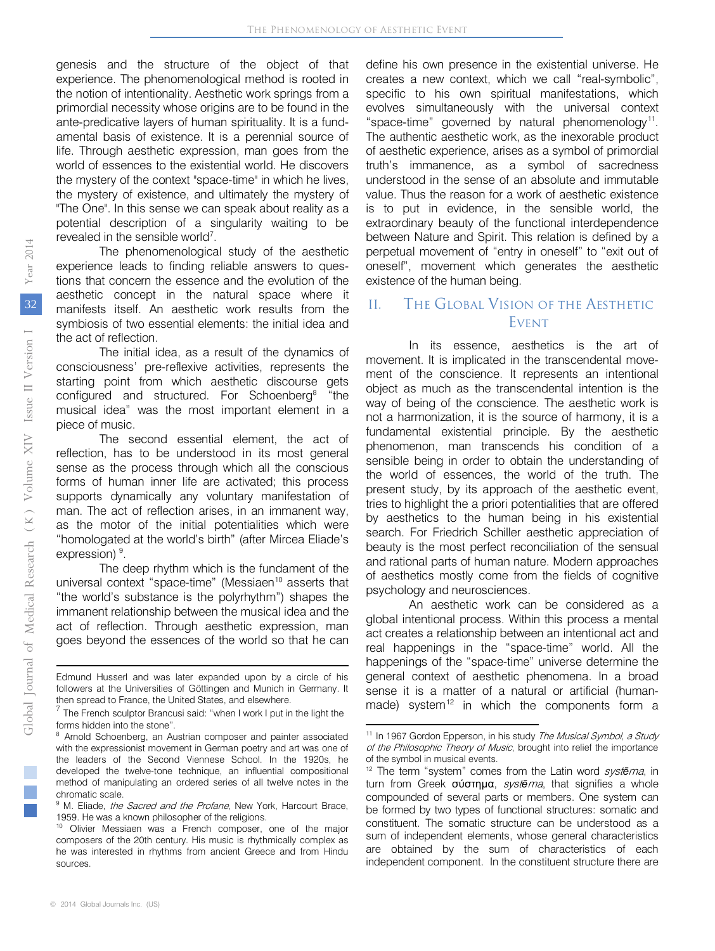genesis and the structure of the object of that experience. The phenomenological method is rooted in the notion of intentionality. Aesthetic work springs from a primordial necessity whose origins are to be found in the ante-predicative layers of human spirituality. It is a fundamental basis of existence. It is a perennial source of life. Through aesthetic expression, man goes from the world of essences to the existential world. He discovers the mystery of the context "space-time" in which he lives, the mystery of existence, and ultimately the mystery of "The One". In this sense we can speak about reality as a potential description of a singularity waiting to be revealed in the sensible world<sup>[7](#page-2-0)</sup>.

The phenomenological study of the aesthetic experience leads to finding reliable answers to questions that concern the essence and the evolution of the aesthetic concept in the natural space where it manifests itself. An aesthetic work results from the symbiosis of two essential elements: the initial idea and the act of reflection.

The initial idea, as a result of the dynamics of consciousness' pre-reflexive activities, represents the starting point from which aesthetic discourse gets configured and structured. For Schoenberg<sup>[8](#page-2-0)</sup> "the musical idea" was the most important element in a piece of music.

The second essential element, the act of reflection, has to be understood in its most general sense as the process through which all the conscious forms of human inner life are activated; this process supports dynamically any voluntary manifestation of man. The act of reflection arises, in an immanent way, as the motor of the initial potentialities which were "homologated at the world's birth" (after Mircea Eliade's expression)<sup>[9](#page-2-0)</sup>.

The deep rhythm which is the fundament of the universal context "space-time" (Messiaen<sup>[10](#page-2-0)</sup> asserts that "the world's substance is the polyrhythm") shapes the immanent relationship between the musical idea and the act of reflection. Through aesthetic expression, man goes beyond the essences of the world so that he can

define his own presence in the existential universe. He creates a new context, which we call "real-symbolic", specific to his own spiritual manifestations, which evolves simultaneously with the universal context "space-time" governed by natural phenomenology<sup>11</sup>. The authentic aesthetic work, as the inexorable product of aesthetic experience, arises as a symbol of primordial truth's immanence, as a symbol of sacredness understood in the sense of an absolute and immutable value. Thus the reason for a work of aesthetic existence is to put in evidence, in the sensible world, the extraordinary beauty of the functional interdependence between Nature and Spirit. This relation is defined by a perpetual movement of "entry in oneself" to "exit out of oneself", movement which generates the aesthetic existence of the human being.

## II. The Global Vision of the Aesthetic **EVENT**

In its essence, aesthetics is the art of movement. It is implicated in the transcendental movement of the conscience. It represents an intentional object as much as the transcendental intention is the way of being of the conscience. The aesthetic work is not a harmonization, it is the source of harmony, it is a fundamental existential principle. By the aesthetic phenomenon, man transcends his condition of a sensible being in order to obtain the understanding of the world of essences, the world of the truth. The present study, by its approach of the aesthetic event, tries to highlight the a priori potentialities that are offered by aesthetics to the human being in his existential search. For Friedrich Schiller aesthetic appreciation of beauty is the most perfect reconciliation of the sensual and rational parts of human nature. Modern approaches of aesthetics mostly come from the fields of cognitive psychology and neurosciences.

An aesthetic work can be considered as a global intentional process. Within this process a mental act creates a relationship between an intentional act and real happenings in the "space-time" world. All the happenings of the "space-time" universe determine the general context of aesthetic phenomena. In a broad sense it is a matter of a natural or artificial (human-made) system<sup>[12](#page-2-1)</sup> in which the components form a

<span id="page-2-0"></span>then spread to France, the United States, and elsewhere. **.** Edmund Husserl and was later expanded upon by a circle of his followers at the Universities of Göttingen and Munich in Germany. It

 $\frac{7}{1}$  The French sculptor Brancusi said: "when I work I put in the light the forms hidden into the stone".

<span id="page-2-1"></span><sup>&</sup>lt;sup>8</sup> Arnold Schoenberg, an Austrian composer and painter associated with the expressionist movement in German poetry and art was one of the leaders of the Second Viennese School. In the 1920s, he developed the twelve-tone technique, an influential compositional method of manipulating an ordered series of all twelve notes in the chromatic scale.

<sup>&</sup>lt;sup>9</sup> M. Eliade, *the Sacred and the Profane*, New York, Harcourt Brace, 1959. He was a known philosopher of the religions.<br><sup>10</sup> Olivier Messiaen was a French composer, one of the major

composers of the 20th century. His music is rhythmically complex as he was interested in rhythms from ancient Greece and from Hindu sources.

<sup>&</sup>lt;sup>11</sup> In 1967 Gordon Epperson, in his study *The Musical Symbol, a Study* of the Philosophic Theory of Music, brought into relief the importance of the symbol in musical events.

<sup>12</sup> The term "system" comes from the Latin word syst*ē*ma, in turn from Greek σύστημα, syst*ē*ma, that signifies a whole compounded of several parts or members. One system can be formed by two types of functional structures: somatic and constituent. The somatic structure can be understood as a sum of independent elements, whose general characteristics are obtained by the sum of characteristics of each independent component. In the constituent structure there are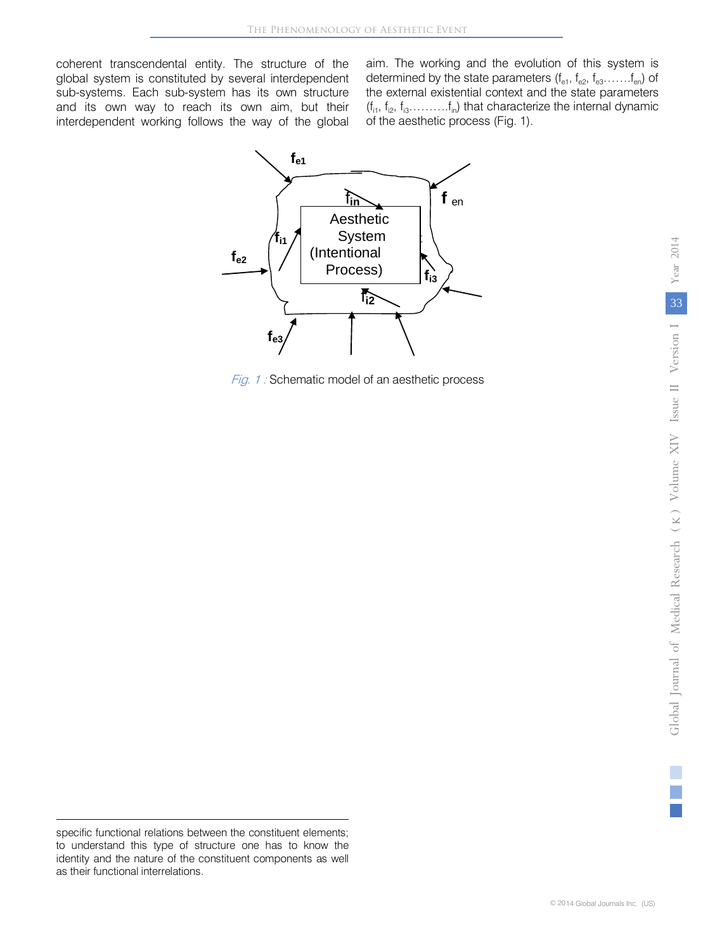coherent transcendental entity. The structure of the global system is constituted by several interdependent sub-systems. Each sub-system has its own structure and its own way to reach its own aim, but their interdependent working follows the way of the global aim. The working and the evolution of this system is determined by the state parameters  $(f_{e1}, f_{e2}, f_{e3}, \ldots, f_{en})$  of the external existential context and the state parameters  $(f_{i1}, f_{i2}, f_{i3}, \ldots, f_{in})$  that characterize the internal dynamic of the aesthetic process (Fig. 1).



Fig. 1 : Schematic model of an aesthetic process

**.** 

specific functional relations between the constituent elements; to understand this type of structure one has to know the identity and the nature of the constituent components as well as their functional interrelations.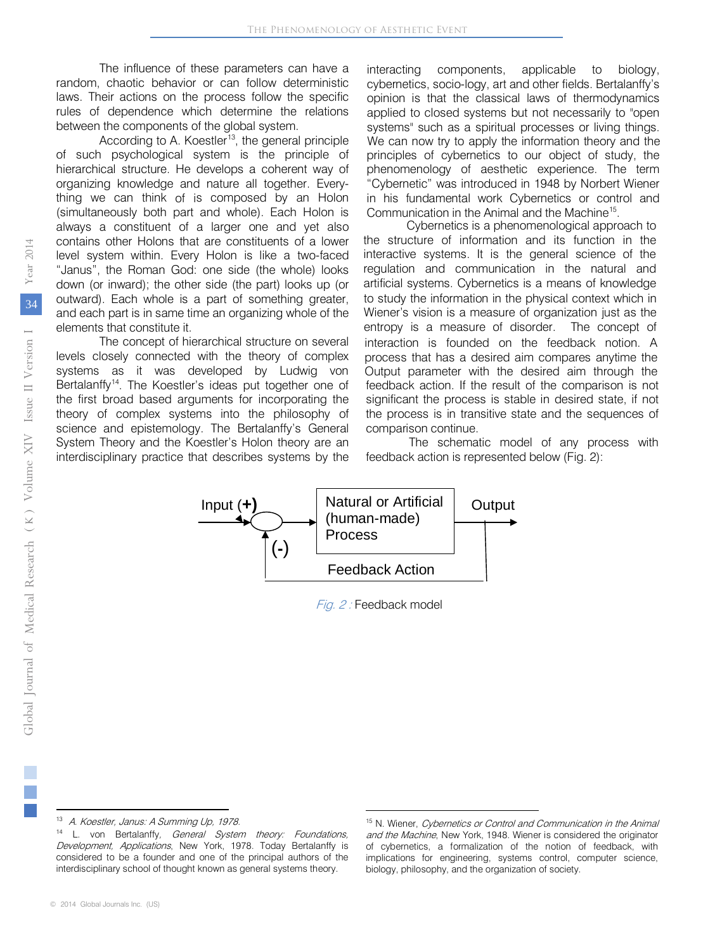The influence of these parameters can have a random, chaotic behavior or can follow deterministic laws. Their actions on the process follow the specific rules of dependence which determine the relations between the components of the global system.

According to A. Koestler<sup>13</sup>, the general principle of such psychological system is the principle of hierarchical structure. He develops a coherent way of organizing knowledge and nature all together. Everything we can think of is composed by an Holon (simultaneously both part and whole). Each Holon is always a constituent of a larger one and yet also contains other Holons that are constituents of a lower level system within. Every Holon is like a two-faced "Janus", the Roman God: one side (the whole) looks down (or inward); the other side (the part) looks up (or outward). Each whole is a part of something greater, and each part is in same time an organizing whole of the elements that constitute it.

The concept of hierarchical structure on several levels closely connected with the theory of complex systems as it was developed by Ludwig von Bertalanffy<sup>14</sup>. The Koestler's ide[as](#page-4-0) put together one of the first broad based arguments for incorporating the theory of complex systems into the philosophy of science and epistemology. The Bertalanffy's General System Theory and the Koestler's Holon theory are an interdisciplinary practice that describes systems by the interacting components, applicable to biology, cybernetics, socio-logy, art and other fields. Bertalanffy's opinion is that the classical laws of thermodynamics applied to closed systems but not necessarily to "open systems" such as a spiritual processes or living things. We can now try to apply the information theory and the principles of cybernetics to our object of study, the phenomenology of aesthetic experience. The term "Cybernetic" was introduced in 1948 by Norbert Wiener in his fundamental work Cybernetics or control and Communication in the Animal and the Machine15.

Cybernetics is a phenomenological approach to the structure of information and its function in the interactive systems. It is the general science of the regulation and communication in the natural and artificial systems. Cybernetics is a means of knowledge to study the information in the physical context which in Wiener's vision is a measure of organization just as the entropy is a measure of disorder. The concept of interaction is founded on the feedback notion. A process that has a desired aim compares anytime the Output parameter with the desired aim through the feedback action. If the result of the compari[so](#page-4-1)n is not significant the process is stable in desired state, if not the process is in transitive state and the sequences of comparison continue.

The schematic model of any process with feedback action is represented below (Fig. 2):



Fig. 2 : Feedback model

 $\overline{a}$ 

<span id="page-4-1"></span><span id="page-4-0"></span><sup>13</sup> A. Koestler, Janus: A Summing Up, 1978.

<sup>&</sup>lt;sup>14</sup> L. von Bertalanffy, *General System theory: Foundations*, Development, Applications, New York, 1978. Today Bertalanffy is considered to be a founder and one of the principal authors of the interdisciplinary school of thought known as general systems theory.

<sup>©</sup> 2014 Global Journals Inc. (US)

<sup>&</sup>lt;sup>15</sup> N. Wiener, Cybernetics or Control and Communication in the Animal and the Machine, New York, 1948. Wiener is considered the originator of cybernetics, a formalization of the notion of feedback, with implications for engineering, systems control, computer science, biology, philosophy, and the organization of society.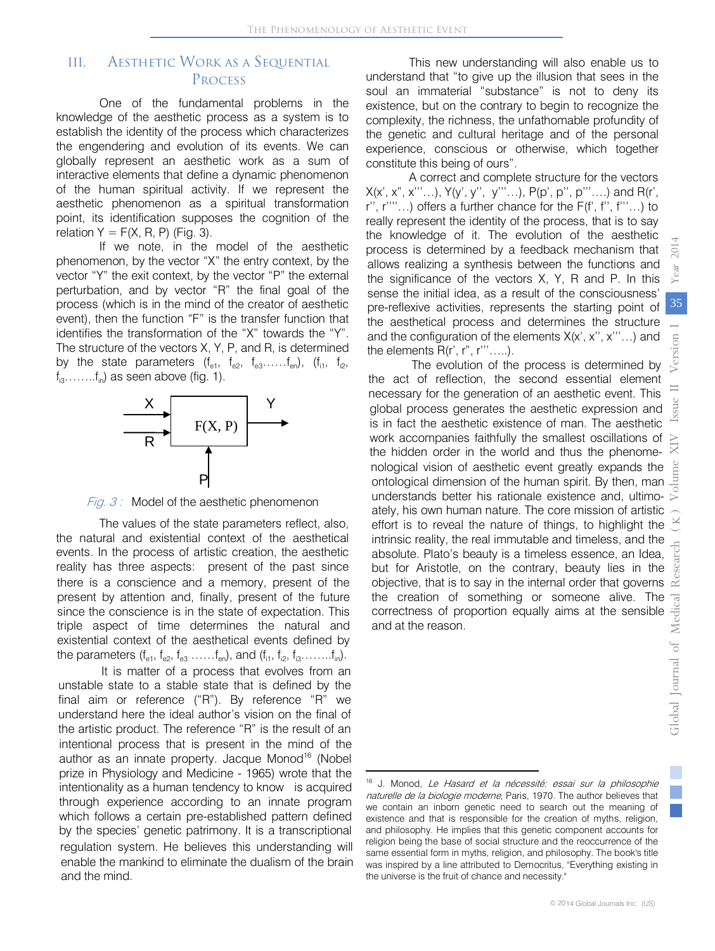$\overline{\phantom{a}}$ 

## III. Aesthetic Work as a Sequential **PROCESS**

One of the fundamental problems in the knowledge of the aesthetic process as a system is to establish the identity of the process which characterizes the engendering and evolution of its events. We can globally represent an aesthetic work as a sum of interactive elements that define a dynamic phenomenon of the human spiritual activity. If we represent the aesthetic phenomenon as a spiritual transformation point, its identification supposes the cognition of the relation  $Y = F(X, R, P)$  (Fig. 3).

If we note, in the model of the aesthetic phenomenon, by the vector "X" the entry context, by the vector "Y" the exit context, by the vector "P" the external perturbation, and by vector "R" the final goal of the process (which is in the mind of the creator of aesthetic event), then the function "F" is the transfer function that identifies the transformation of the "X" towards the "Y". The structure of the vectors X, Y, P, and R, is determined by the state parameters  $(f_{e1}, f_{e2}, f_{e3}, \ldots, f_{en})$ ,  $(f_{11}, f_{12}, f_{13})$  $f_{i3}$ …….. $f_{i0}$ ) as seen above (fig. 1).



Fig.  $3$  : Model of the aesthetic phenomenon

The values of the state parameters reflect, also, the natural and existential context of the aesthetical events. In the process of artistic creation, the aesthetic reality has three aspects: present of the past since there is a conscience and a memory, present of the present by attention and, finally, present of the future since the conscience is in the state of expectation. This triple aspect of time determines the natural and existential context of the aesthetical events defined by the parameters  $(f_{e1}, f_{e2}, f_{e3}, \ldots, f_{en})$ , and  $(f_{i1}, f_{i2}, f_{i3}, \ldots, f_{in})$ .

<span id="page-5-0"></span>It is matter of a process that evolves from an unstable state to a stable state that is defined by the final aim or reference ("R"). By reference "R" we understand here the ideal author's vision on the final of the artistic product. The reference "R" is the result of an intentional process that is present in the mind of the author as an innate property. Jacque Monod<sup>16</sup> (Nobel prize in Physiology and Medicine - 1965) wrote that the intentionality as a human tendency to know is acquired through experience according to an innate program which follows a certain pre-established pattern defined by the species' genetic patrimony. It is a transcriptional regulation system. He believes this understanding will enable the mankind to eliminate the dualism of the brain and the mind.

This new understanding will also enable us to understand that "to give up the illusion that sees in the soul an immaterial "substance" is not to deny its existence, but on the contrary to begin to recognize the complexity, the richness, the unfathomable profundity of the genetic and cultural heritage and of the personal experience, conscious or otherwise, which together constitute this being of ours".

A correct and complete structure for the vectors  $X(x', x'', x'''....)$ ,  $Y(y', y'', y'''...)$ ,  $P(p', p'', p'''...)$  and  $R(r',$ r'', r''''…) offers a further chance for the F(f', f'', f'''…) to really represent the identity of the process, that is to say the knowledge of it. The evolution of the aesthetic process is determined by a feedback mechanism that allows realizing a synthesis between the functions and the significance of the vectors X, Y, R and P. In this sense the initial idea, as a result of the consciousness' pre-reflexive activities, represents the starting point of the aesthetical process and determines the structure and the configuration of the elements  $X(x', x'', x'''...)$  and the elements  $R(r', r'', r''', \ldots)$ .

The evolution of the process is determined by the act of reflection, the second essential element necessary for the generation of an aesthetic event. This global process generates the aesthetic expression and is in fact the aesthetic existence of man. The aesthetic IS III identified accompanies faithfully the smallest osc[illa](#page-5-0)tions of  $\ge$  work accompanies faithfully the smallest oscillations of  $\ge$ the hidden order in the world and thus the phenomenological vision of aesthetic event greatly expands the<br>ontological dimension of the human spirit. By then, man ontological dimension of the human spirit. By then, man understands better his rationale existence and, ultimo-<br>ately, his own human nature. The core mission of artistic<br>effort is to reveal the nature of things, to highlig understands better his rationale existence and, ultimoately, his own human nature. The core mission of artistic effort is to reveal the nature of things, to highlight the intrinsic reality, the real immutable and timeless, and the absolute. Plato's beauty is a timeless essence, an Idea, but for Aristotle, on the contrary, beauty lies in the objective, that is to say in the internal order that governs the creation of something or someone alive. The correctness of proportion equally aims at the sensible and at the reason.

<sup>&</sup>lt;sup>16</sup> J. Monod, Le Hasard et la nécessité: essai sur la philosophie naturelle de la biologie moderne, Paris, 1970. The author believes that we contain an inborn genetic need to search out the meaning of existence and that is responsible for the creation of myths, religion, and philosophy. He implies that this genetic component accounts for religion being the base of social structure and the reoccurrence of the same essential form in myths, religion, and philosophy. The book's title was inspired by a line attributed to Democritus, "Everything existing in the universe is the fruit of chance and necessity."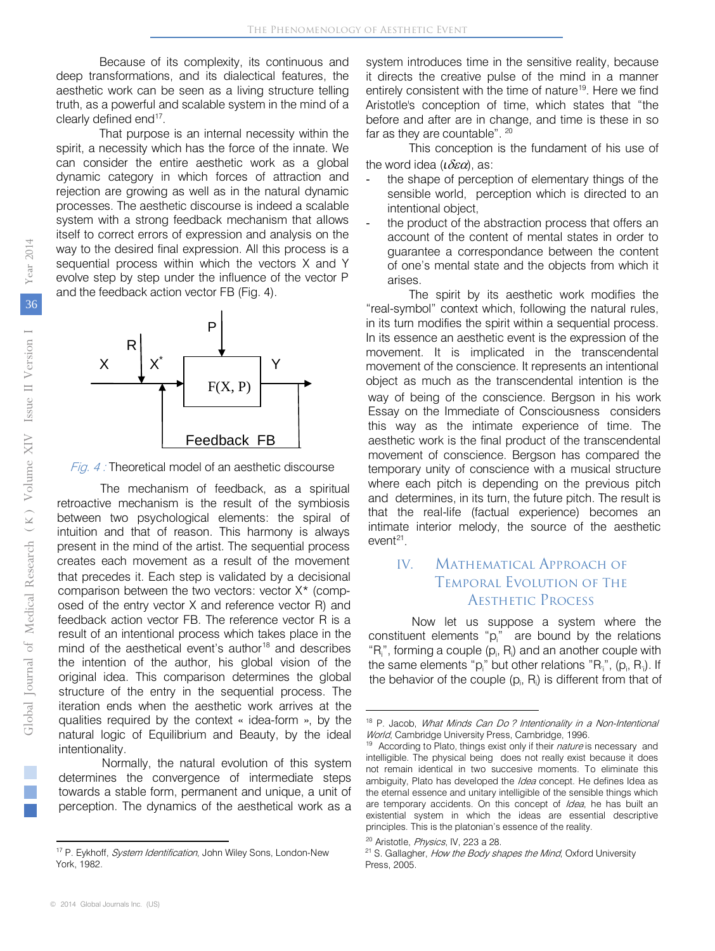Because of its complexity, its continuous and deep transformations, and its dialectical features, the aesthetic work can be seen as a living structure telling truth, as a powerful and scalable system in the mind of a clearly defined end<sup>17</sup>.

That purpose is an internal necessity within the spirit, a necessity which has the force of the innate. We can consider the entire aesthetic work as a global dynamic category in which forces of attraction and rejection are growing as well as in the natural dynamic processes. The aesthetic discourse is indeed a scalable system with a strong feedback mechanism that allows itself to correct errors of expression and analysis on the way to the desired final expression. All this process is a sequential process within which the vectors X and Y evolve step by step under the influence of the vector P and the feedback action vector FB (Fig. 4).



Fig. 4 : Theoretical model of an aesthetic discourse

The mechanism of feedback, as a spiritual retroactive mecha[ni](#page-6-0)sm is the result of the symbiosis between two psychological elements: the spiral of intuition and that of reason. This harmony is always present in the mind of the artist. The sequential process creates each movement as a result of the movement that precedes it. Each step is validated by a decisional comparison between the two vectors: vector X\* (composed of the entry vector X and reference vector R) and feedback action vector FB. The reference vector R is a result of an intentional process which takes place in the mind of the aesthetical event's author<sup>18</sup> and describes the intention of the author, his global vision of the original idea. This comparison determines the global structure of the entry in the sequential process. The iteration ends when the aesthetic work arrives at the qualities required by the context « idea-form », by the natural logic of Equilibrium and Beauty, by the ideal intentionality.

<span id="page-6-1"></span>Normally, the natural evolution of this system determines the convergence of intermediate steps towards a stable form, permanent and unique, a unit of perception. The dynamics of the aesthetical work as a system introduces time in the sensitive reality, because it directs the creative pulse of the mind in a manner entirely consistent with the time of nature<sup>19</sup>. Here we find Aristotle's conception of time, which states that "the before and after are in change, and time is these in so far as they are countable". <sup>20</sup>

This conception is the fundament of his use of the word idea (*ι*δεα), as:

- the shape of perception of elementary things of the sensible world, perception which is directed to an intentional object,
- the product of the abstraction proc[es](#page-6-1)s that offers an account of the content of mental states in order to guarantee a correspondance between the content of one's mental state and the objects from which it arises.

The spirit by its aesthetic work modifies the "real-symbol" context which, following the natural rules, in its turn modifies the spirit within a sequential process. In its essence an aesthetic event is the expression of the movement. It is implicated in the transcendental movement of the conscience. It represents an intentional object as much as the transcendental intention is the way of being of the conscience. Bergson in his work Essay on the Immediate of Consciousness considers this way as the intimate experienc[e](#page-6-1) of time. The aesthetic work is the final product of the transcendental movement of conscience. Bergson has compared the temporary unity of consci[en](#page-6-1)ce with a musical structure where each pitch is depending on the previous pitch and determines, in its turn, the future pitch. The result is that the real-life (factual experience) becomes an intimate interior melody, the source of the aesthetic  $event<sup>21</sup>$ .

### IV. Mathematical Approach of Temporal Evolution of The AESTHETIC PROCESS

Now let us suppose a system where the constituent elements " $p_i$ " are bound by the relations " $R_i$ ", forming a couple ( $p_i$ ,  $R_i$ ) and an another couple with the same elements "p<sub>i</sub>" but other relations "R<sub>i</sub>", (p<sub>i</sub>, R<sub>i</sub>). If the behavior of the couple  $(p_i, R_i)$  is different from that of

 $\overline{\phantom{a}}$ 

 $\overline{a}$ 

<span id="page-6-0"></span><sup>&</sup>lt;sup>17</sup> P. Eykhoff, System Identification, John Wiley Sons, London-New York, 1982.

<sup>&</sup>lt;sup>18</sup> P. Jacob, What Minds Can Do? Intentionality in a Non-Intentional World, Cambridge University Press, Cambridge, 1996.

<sup>&</sup>lt;sup>19</sup> According to Plato, things exist only if their nature is necessary and intelligible. The physical being does not really exist because it does not remain identical in two succesive moments. To eliminate this ambiguity, Plato has developed the *Idea* concept. He defines Idea as the eternal essence and unitary intelligible of the sensible things which are temporary accidents. On this concept of *Idea*, he has built an existential system in which the ideas are essential descriptive principles. This is the platonian's essence of the reality.

<sup>&</sup>lt;sup>20</sup> Aristotle, Physics, IV, 223 a 28.

<sup>&</sup>lt;sup>21</sup> S. Gallagher, How the Body shapes the Mind, Oxford University Press, 2005.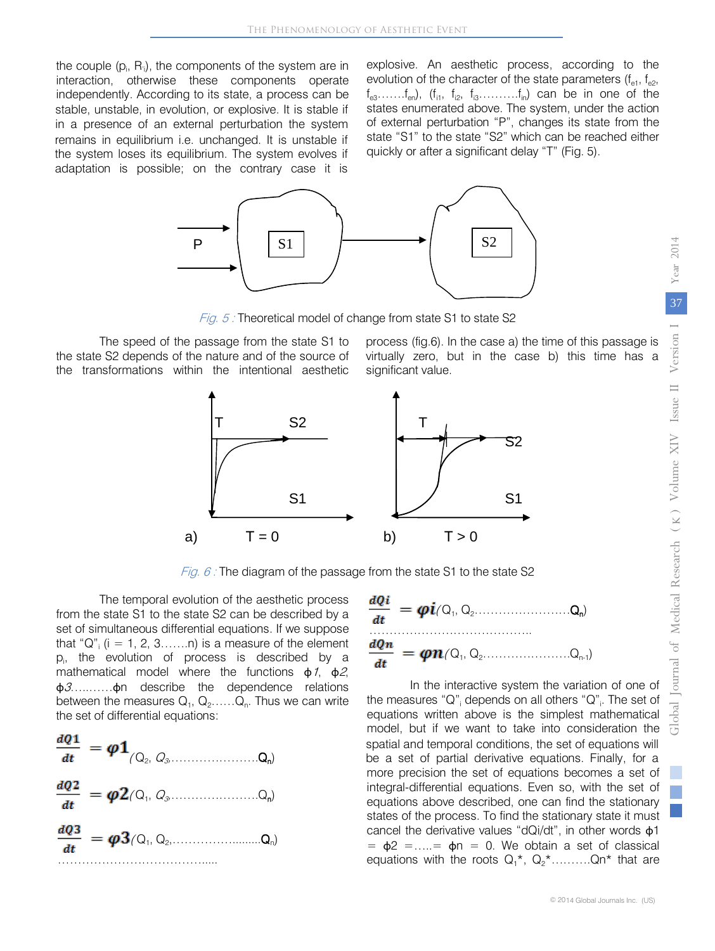the couple  $(p_i, R_i)$ , the components of the system are in interaction, otherwise these components operate independently. According to its state, a process can be stable, unstable, in evolution, or explosive. It is stable if in a presence of an external perturbation the system remains in equilibrium i.e. unchanged. It is unstable if the system loses its equilibrium. The system evolves if adaptation is possible; on the contrary case it is

explosive. An aesthetic process, according to the evolution of the character of the state parameters  $(f_{e1}, f_{e2}, f_{e3})$  $f_{e3}$ …… $f_{en}$ ),  $(f_{i1}, f_{i2}, f_{i3}$ ……… $f_{in}$ ) can be in one of the states enumerated above. The system, under the action of external perturbation "P", changes its state from the state "S1" to the state "S2" which can be reached either quickly or after a significant delay "T" (Fig. 5).



Fig. 5 : Theoretical model of change from state S1 to state S2

The speed of the passage from the state S1 to the state S2 depends of the nature and of the source of the transformations within the intentional aesthetic

process (fig.6). In the case a) the time of this passage is virtually zero, but in the case b) this time has a significant value.



Fig.  $6$ : The diagram of the passage from the state S1 to the state S2

The temporal evolution of the aesthetic process from the state S1 to the state S2 can be described by a set of simultaneous differential equations. If we suppose that "Q";  $(i = 1, 2, 3, \ldots, n)$  is a measure of the element pi , the evolution of process is described by a mathematical model where the functions  $\phi$ 1,  $\phi$ 2, φ3…..……φn describe the dependence relations between the measures  $Q_1, Q_2, \ldots, Q_n$ . Thus we can write the set of differential equations:





In the interactive system the variation of one of the measures "Q"<sub>i</sub> depends on all others "Q"<sub>i</sub>. The set of equations written above is the simplest mathematical model, but if we want to take into consideration the spatial and temporal conditions, the set of equations will be a set of partial derivative equations. Finally, for a integral-differential equations. Even so, with the set of equations above described, one can find the stationary states of the process. To find the stationary state it must cancel the derivative values "dQi/dt", in other words φ1  $=$   $\phi$ 2 = .... =  $\phi$ n = 0. We obtain a set of classical equations with the roots  $Q_1^*$ ,  $Q_2^*$ ...........Qn\* that are more precision the set of equations becomes a set of